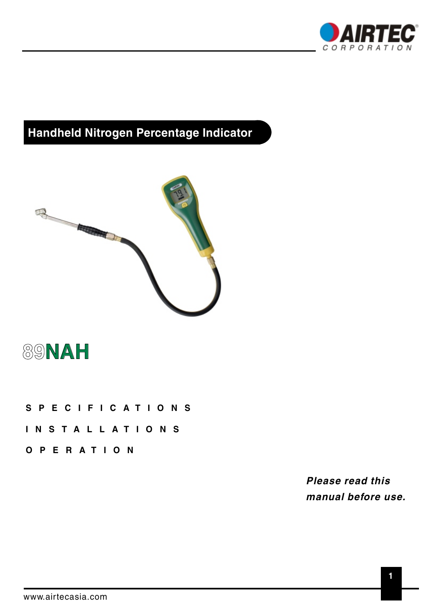

# **Handheld Nitrogen Percentage Indicator**





**SPECIFICA TIONS INST ALLA TIONS**

**OPERA TION**

**Please read this manual before use.**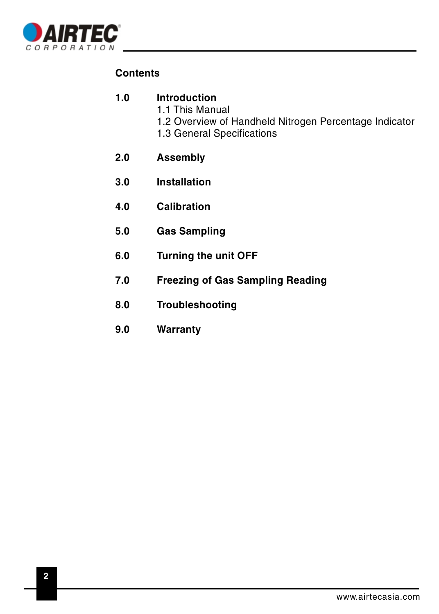

## **Contents**

- **1.0 Introduction**
	- 1.1 This Manual
	- 1.2 Overview of Handheld Nitrogen Percentage Indicator
	- 1.3 General Specifications
- **2.0 Assembly**
- **3.0 Installation**
- **4.0 Calibration**
- **5.0 Gas Sampling**
- **6.0 Turning the unit OFF**
- **7.0 Freezing of Gas Sampling Reading**
- **8.0 Troubleshooting**
- **9.0 Warranty**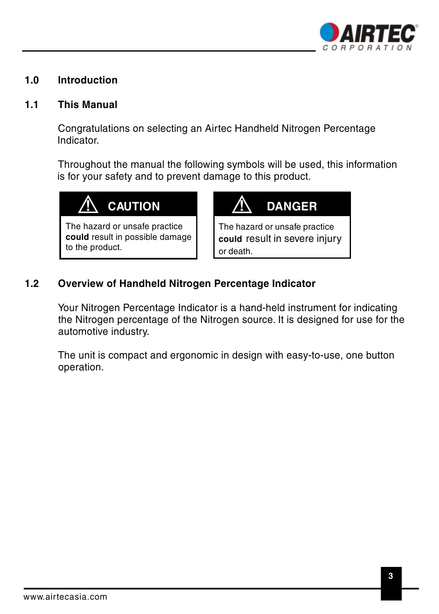

## **1.0 Introduction**

### **1.1 This Manual**

Congratulations on selecting an Airtec Handheld Nitrogen Percentage Indicator.

Throughout the manual the following symbols will be used, this information is for your safety and to prevent damage to this product.

**! CAUTION**

The hazard or unsafe practice **could** result in possible damage to the product.



The hazard or unsafe practice **could** result in severe injury or death.

### **1.2 Overview of Handheld Nitrogen Percentage Indicator**

Your Nitrogen Percentage Indicator is a hand-held instrument for indicating the Nitrogen percentage of the Nitrogen source. It is designed for use for the automotive industry.

The unit is compact and ergonomic in design with easy-to-use, one button operation.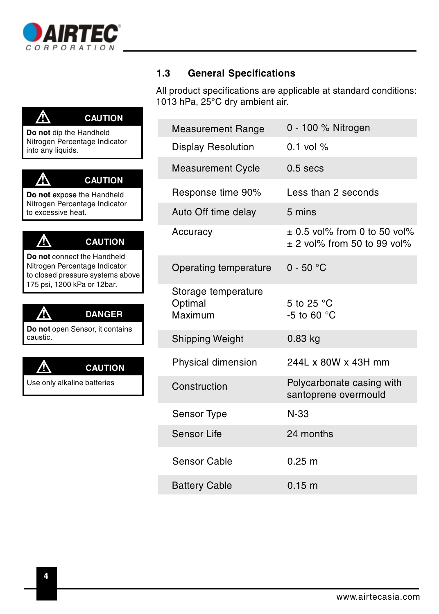



## **1.3 General Specifications**

All product specifications are applicable at standard conditions: 1013 hPa, 25°C dry ambient air.

| Measurement Range                         | 0 - 100 % Nitrogen                                                  |
|-------------------------------------------|---------------------------------------------------------------------|
| <b>Display Resolution</b>                 | $0.1$ vol %                                                         |
| <b>Measurement Cycle</b>                  | $0.5$ secs                                                          |
| Response time 90%                         | Less than 2 seconds                                                 |
| Auto Off time delay                       | 5 mins                                                              |
| Accuracy                                  | $\pm$ 0.5 vol% from 0 to 50 vol%<br>$\pm$ 2 vol% from 50 to 99 vol% |
| Operating temperature                     | $0 - 50 °C$                                                         |
| Storage temperature<br>Optimal<br>Maximum | 5 to 25 °C<br>-5 to 60 $\degree$ C                                  |
| Shipping Weight                           | $0.83$ kg                                                           |
| Physical dimension                        | 244L x 80W x 43H mm                                                 |
| Construction                              | Polycarbonate casing with<br>santoprene overmould                   |
| Sensor Type                               | $N-33$                                                              |
| Sensor Life                               | 24 months                                                           |
| Sensor Cable                              | $0.25 \text{ m}$                                                    |
| <b>Battery Cable</b>                      | 0.15 m                                                              |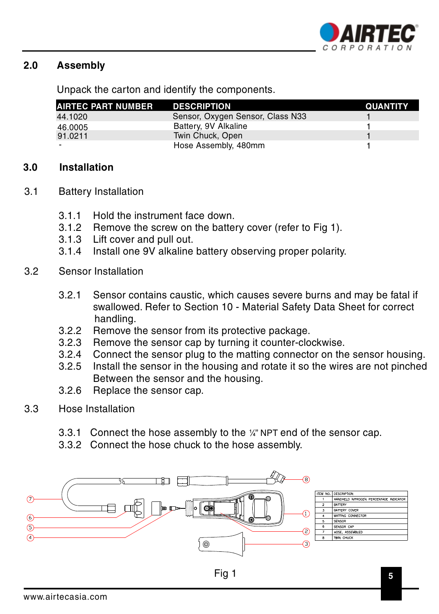

### **2.0 Assembly**

| <b>AIRTEC PART NUMBER</b> | <b>DESCRIPTION</b>               | <b>QUANTITY</b> |
|---------------------------|----------------------------------|-----------------|
| 44.1020                   | Sensor, Oxygen Sensor, Class N33 |                 |
| 46,0005                   | Battery, 9V Alkaline             |                 |
| 91.0211                   | Twin Chuck, Open                 |                 |
|                           | Hose Assembly, 480mm             |                 |

Unpack the carton and identify the components.

### **3.0 Installation**

- 3.1 Battery Installation
	- 3.1.1 Hold the instrument face down.
	- 3.1.2 Remove the screw on the battery cover (refer to Fig 1).
	- 3.1.3 Lift cover and pull out.
	- 3.1.4 Install one 9V alkaline battery observing proper polarity.
- 3.2 Sensor Installation
	- 3.2.1 Sensor contains caustic, which causes severe burns and may be fatal if swallowed. Refer to Section 10 - Material Safety Data Sheet for correct handling.
	- 3.2.2 Remove the sensor from its protective package.<br>3.2.3 Bemove the sensor can by turning it counter-clo
	- 3.2.3 Remove the sensor cap by turning it counter-clockwise.<br>3.2.4 Connect the sensor plug to the matting connector on the
	- 3.2.4 Connect the sensor plug to the matting connector on the sensor housing.<br>3.2.5 Install the sensor in the housing and rotate it so the wires are not pinched
	- Install the sensor in the housing and rotate it so the wires are not pinched Between the sensor and the housing.
	- 3.2.6 Replace the sensor cap.
- 3.3 Hose Installation
- 3.3.1 Connect the hose assembly to the  $\frac{1}{4}$  NPT end of the sensor cap.
	- 3.3.2 Connect the hose chuck to the hose assembly.

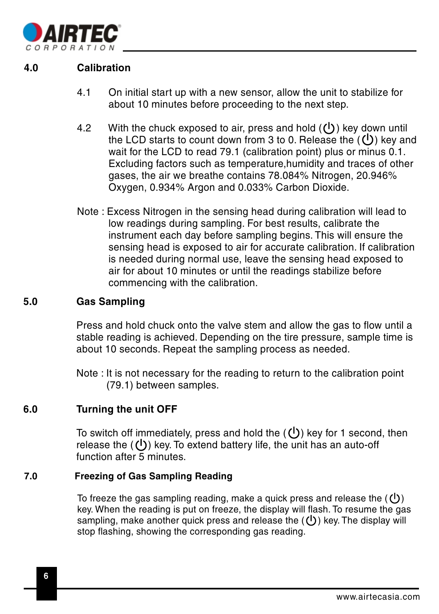

## **4.0 Calibration**

- 4.1 On initial start up with a new sensor, allow the unit to stabilize for about 10 minutes before proceeding to the next step.
- 4.2 With the chuck exposed to air, press and hold  $(1)$ ) key down until the LCD starts to count down from 3 to 0. Release the  $(1)$ ) key and wait for the LCD to read 79.1 (calibration point) plus or minus 0.1. Excluding factors such as temperature,humidity and traces of other gases, the air we breathe contains 78.084% Nitrogen, 20.946% Oxygen, 0.934% Argon and 0.033% Carbon Dioxide.
- Note : Excess Nitrogen in the sensing head during calibration will lead to low readings during sampling. For best results, calibrate the instrument each day before sampling begins. This will ensure the sensing head is exposed to air for accurate calibration. If calibration is needed during normal use, leave the sensing head exposed to air for about 10 minutes or until the readings stabilize before commencing with the calibration.

## **5.0 Gas Sampling**

Press and hold chuck onto the valve stem and allow the gas to flow until a stable reading is achieved. Depending on the tire pressure, sample time is about 10 seconds. Repeat the sampling process as needed.

Note : It is not necessary for the reading to return to the calibration point (79.1) between samples.

## **6.0 Turning the unit OFF**

**www.airtecasia.com**

To switch off immediately, press and hold the  $(1)$ ) key for 1 second, then release the  $( 0 )$  key. To extend battery life, the unit has an auto-off function after 5 minutes.

#### **7.0 Freezing of Gas Sampling Reading**

To freeze the gas sampling reading, make a quick press and release the  $(1)$ ) key. When the reading is put on freeze, the display will flash. To resume the gas sampling, make another quick press and release the  $(()$ ) key. The display will stop flashing, showing the corresponding gas reading.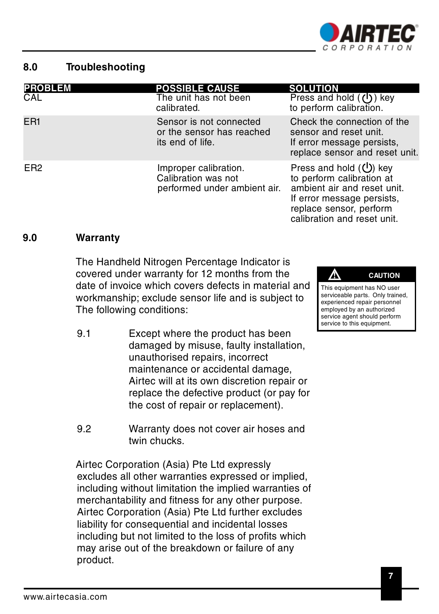

## **8.0 Troubleshooting**

| <b>PROBLEM</b>  | <b>POSSIBLE CAUSE</b>                                                        | <b>SOLUTION</b>                                                                                                                                                                    |
|-----------------|------------------------------------------------------------------------------|------------------------------------------------------------------------------------------------------------------------------------------------------------------------------------|
| CAL             | The unit has not been<br>calibrated.                                         | Press and hold $(!)$ ) key<br>to perform calibration.                                                                                                                              |
| ER <sub>1</sub> | Sensor is not connected<br>or the sensor has reached<br>its end of life.     | Check the connection of the<br>sensor and reset unit.<br>If error message persists,<br>replace sensor and reset unit.                                                              |
| ER <sub>2</sub> | Improper calibration.<br>Calibration was not<br>performed under ambient air. | Press and hold $(\bigcup)$ key<br>to perform calibration at<br>ambient air and reset unit.<br>If error message persists,<br>replace sensor, perform<br>calibration and reset unit. |

#### **9.0 Warranty**

The Handheld Nitrogen Percentage Indicator is covered under warranty for 12 months from the date of invoice which covers defects in material and workmanship; exclude sensor life and is subject to The following conditions:

- 9.1 Except where the product has been damaged by misuse, faulty installation, unauthorised repairs, incorrect maintenance or accidental damage, Airtec will at its own discretion repair or replace the defective product (or pay for the cost of repair or replacement).
- 9.2 Warranty does not cover air hoses and twin chucks.

Airtec Corporation (Asia) Pte Ltd expressly excludes all other warranties expressed or implied, including without limitation the implied warranties of merchantability and fitness for any other purpose. Airtec Corporation (Asia) Pte Ltd further excludes liability for consequential and incidental losses including but not limited to the loss of profits which may arise out of the breakdown or failure of any product.



serviceable parts. Only trained, experienced repair personnel employed by an authorized service agent should perform service to this equipment.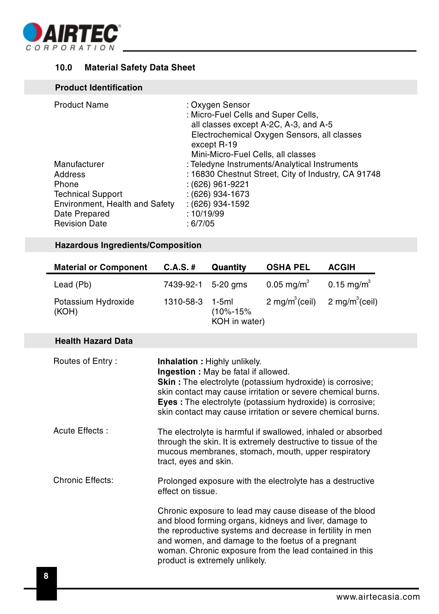

## **10.0 Material Safety Data Sheet**

### **Product Identification**

| <b>Product Name</b>            | : Oxygen Sensor<br>: Micro-Fuel Cells and Super Cells,<br>all classes except A-2C, A-3, and A-5<br>Electrochemical Oxygen Sensors, all classes<br>except R-19 |
|--------------------------------|---------------------------------------------------------------------------------------------------------------------------------------------------------------|
|                                | Mini-Micro-Fuel Cells, all classes                                                                                                                            |
| Manufacturer                   | : Teledyne Instruments/Analytical Instruments                                                                                                                 |
| Address                        | : 16830 Chestnut Street, City of Industry, CA 91748                                                                                                           |
| Phone                          | : (626) 961-9221                                                                                                                                              |
| <b>Technical Support</b>       | : (626) 934-1673                                                                                                                                              |
| Environment, Health and Safety | $(626)$ 934-1592                                                                                                                                              |
| Date Prepared                  | :10/19/99                                                                                                                                                     |
| <b>Revision Date</b>           | : 6/7/05                                                                                                                                                      |

## **Hazardous Ingredients/Composition**

| <b>Material or Component</b> | $C.A.S.$ #                                                                                                                                                                                                                                                                                                                           | Quantity                             | <b>OSHA PEL</b>                                                                                                                                                                                                                                                                                | <b>ACGIH</b>             |
|------------------------------|--------------------------------------------------------------------------------------------------------------------------------------------------------------------------------------------------------------------------------------------------------------------------------------------------------------------------------------|--------------------------------------|------------------------------------------------------------------------------------------------------------------------------------------------------------------------------------------------------------------------------------------------------------------------------------------------|--------------------------|
| Lead (Pb)                    | 7439-92-1                                                                                                                                                                                                                                                                                                                            | 5-20 gms                             | $0.05 \,\mathrm{mq/m^3}$                                                                                                                                                                                                                                                                       | $0.15$ mg/m <sup>3</sup> |
| Potassium Hydroxide<br>(KOH) | 1310-58-3                                                                                                                                                                                                                                                                                                                            | $1-5ml$<br>(10%-15%<br>KOH in water) | 2 mg/m $\mathrm{^3}$ (ceil)                                                                                                                                                                                                                                                                    | 2 mg/m $3$ (ceil)        |
| <b>Health Hazard Data</b>    |                                                                                                                                                                                                                                                                                                                                      |                                      |                                                                                                                                                                                                                                                                                                |                          |
| Routes of Entry:             | Inhalation : Highly unlikely.<br><b>Ingestion:</b> May be fatal if allowed.<br>Skin: The electrolyte (potassium hydroxide) is corrosive;<br>skin contact may cause irritation or severe chemical burns.<br>Eyes : The electrolyte (potassium hydroxide) is corrosive;<br>skin contact may cause irritation or severe chemical burns. |                                      |                                                                                                                                                                                                                                                                                                |                          |
| Acute Effects:               | The electrolyte is harmful if swallowed, inhaled or absorbed<br>through the skin. It is extremely destructive to tissue of the<br>mucous membranes, stomach, mouth, upper respiratory<br>tract, eyes and skin.                                                                                                                       |                                      |                                                                                                                                                                                                                                                                                                |                          |
| Chronic Effects:             | Prolonged exposure with the electrolyte has a destructive<br>effect on tissue.                                                                                                                                                                                                                                                       |                                      |                                                                                                                                                                                                                                                                                                |                          |
|                              |                                                                                                                                                                                                                                                                                                                                      | product is extremely unlikely.       | Chronic exposure to lead may cause disease of the blood<br>and blood forming organs, kidneys and liver, damage to<br>the reproductive systems and decrease in fertility in men<br>and women, and damage to the foetus of a pregnant<br>woman. Chronic exposure from the lead contained in this |                          |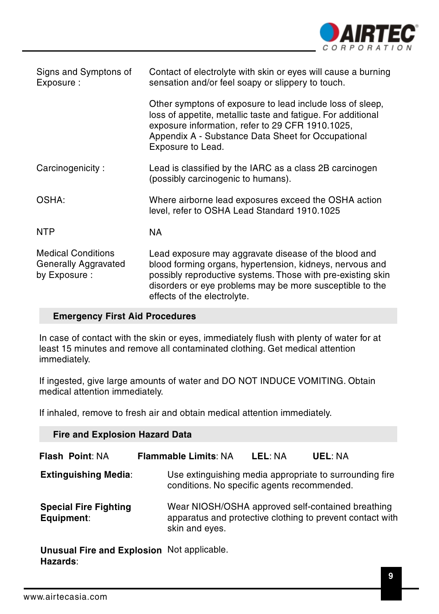

| Signs and Symptons of<br>Exposure:                                | Contact of electrolyte with skin or eyes will cause a burning<br>sensation and/or feel soapy or slippery to touch.                                                                                                                                                         |
|-------------------------------------------------------------------|----------------------------------------------------------------------------------------------------------------------------------------------------------------------------------------------------------------------------------------------------------------------------|
|                                                                   | Other symptons of exposure to lead include loss of sleep,<br>loss of appetite, metallic taste and fatigue. For additional<br>exposure information, refer to 29 CFR 1910.1025,<br>Appendix A - Substance Data Sheet for Occupational<br>Exposure to Lead.                   |
| Carcinogenicity:                                                  | Lead is classified by the IARC as a class 2B carcinogen<br>(possibly carcinogenic to humans).                                                                                                                                                                              |
| OSHA:                                                             | Where airborne lead exposures exceed the OSHA action<br>level, refer to OSHA Lead Standard 1910.1025                                                                                                                                                                       |
| NTP                                                               | NA.                                                                                                                                                                                                                                                                        |
| <b>Medical Conditions</b><br>Generally Aggravated<br>by Exposure: | Lead exposure may aggravate disease of the blood and<br>blood forming organs, hypertension, kidneys, nervous and<br>possibly reproductive systems. Those with pre-existing skin<br>disorders or eye problems may be more susceptible to the<br>effects of the electrolyte. |

#### **Emergency First Aid Procedures**

In case of contact with the skin or eyes, immediately flush with plenty of water for at least 15 minutes and remove all contaminated clothing. Get medical attention immediately.

If ingested, give large amounts of water and DO NOT INDUCE VOMITING. Obtain medical attention immediately.

If inhaled, remove to fresh air and obtain medical attention immediately.

| Fire and Explosion Hazard Data             |                                             |        |                                                                                                                |  |
|--------------------------------------------|---------------------------------------------|--------|----------------------------------------------------------------------------------------------------------------|--|
| Flash Point: NA                            | <b>Flammable Limits: NA</b>                 | LEL NA | UEL: NA                                                                                                        |  |
| <b>Extinguishing Media:</b>                | conditions. No specific agents recommended. |        | Use extinguishing media appropriate to surrounding fire                                                        |  |
| <b>Special Fire Fighting</b><br>Equipment: | skin and eyes.                              |        | Wear NIOSH/OSHA approved self-contained breathing<br>apparatus and protective clothing to prevent contact with |  |

**Unusual Fire and Explosion** Not applicable.**Hazards**: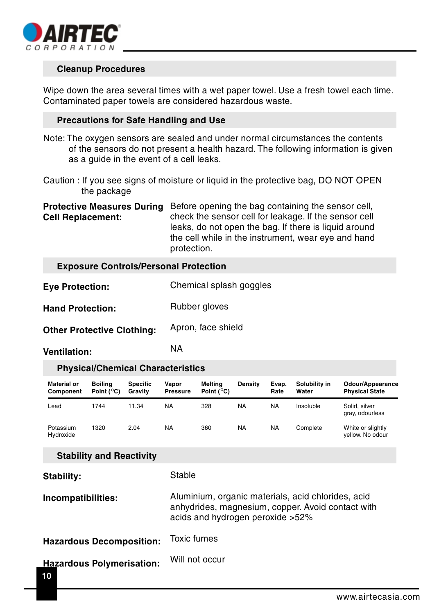

#### **Cleanup Procedures**

Wipe down the area several times with a wet paper towel. Use a fresh towel each time. Contaminated paper towels are considered hazardous waste.

#### **Precautions for Safe Handling and Use**

Note: The oxygen sensors are sealed and under normal circumstances the contents of the sensors do not present a health hazard. The following information is given as a guide in the event of a cell leaks.

Caution : If you see signs of moisture or liquid in the protective bag, DO NOT OPEN the package

Protective Measures During Before opening the bag containing the sensor cell, **Cell Replacement:** check the sensor cell for leakage. If the sensor cell leaks, do not open the bag. If there is liquid around the cell while in the instrument, wear eye and hand protection.

#### **Exposure Controls/Personal Protection**

| <b>Eye Protection:</b> | Chemical splash goggles |
|------------------------|-------------------------|
|------------------------|-------------------------|

**Hand Protection:** Rubber gloves

**Other Protective Clothing:** Apron, face shield

**Ventilation:**

NA

#### **Physical/Chemical Characteristics**

| <b>Material or</b><br>Component | Boiling<br>Point $(^{\circ}C)$ | <b>Specific</b><br>Gravity | Vapor<br><b>Pressure</b> | Meltina<br>Point $(^{\circ}C)$ | Density | Evap.<br>Rate | Solubility in<br>Water | Odour/Appearance<br><b>Physical State</b> |
|---------------------------------|--------------------------------|----------------------------|--------------------------|--------------------------------|---------|---------------|------------------------|-------------------------------------------|
| Lead                            | 1744                           | 11.34                      | NA                       | 328                            | NA      | <b>NA</b>     | Insoluble              | Solid, silver<br>gray, odourless          |
| Potassium<br>Hydroxide          | 1320                           | 2.04                       | NA                       | 360                            | NA      | <b>NA</b>     | Complete               | White or slightly<br>vellow. No odour     |

#### **Stability and Reactivity**

| Stability:                             | Stable                                                                                                                                      |
|----------------------------------------|---------------------------------------------------------------------------------------------------------------------------------------------|
| Incompatibilities:                     | Aluminium, organic materials, acid chlorides, acid<br>anhydrides, magnesium, copper. Avoid contact with<br>acids and hydrogen peroxide >52% |
| <b>Hazardous Decomposition:</b>        | Toxic fumes                                                                                                                                 |
| <b>Hazardous Polymerisation:</b><br>10 | Will not occur                                                                                                                              |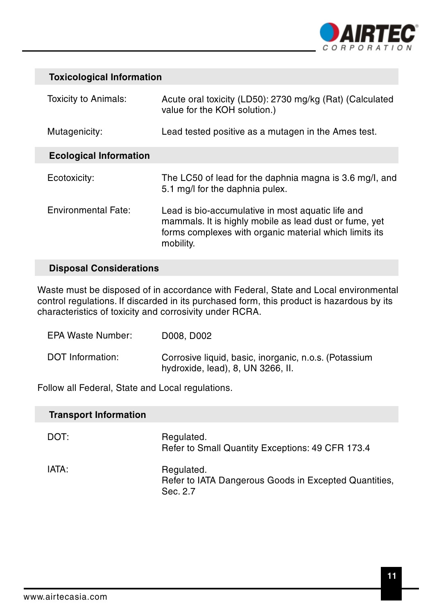

## **Toxicological Information**

| Toxicity to Animals:          | Acute oral toxicity (LD50): 2730 mg/kg (Rat) (Calculated<br>value for the KOH solution.)                                                                                           |
|-------------------------------|------------------------------------------------------------------------------------------------------------------------------------------------------------------------------------|
| Mutagenicity:                 | Lead tested positive as a mutagen in the Ames test.                                                                                                                                |
| <b>Ecological Information</b> |                                                                                                                                                                                    |
| Ecotoxicity:                  | The LC50 of lead for the daphnia magna is 3.6 mg/l, and<br>5.1 mg/l for the daphnia pulex.                                                                                         |
| Environmental Fate:           | Lead is bio-accumulative in most aquatic life and<br>mammals. It is highly mobile as lead dust or fume, yet<br>forms complexes with organic material which limits its<br>mobility. |

### **Disposal Considerations**

Waste must be disposed of in accordance with Federal, State and Local environmental control regulations. If discarded in its purchased form, this product is hazardous by its characteristics of toxicity and corrosivity under RCRA.

| <b>EPA Waste Number:</b> | D008, D002                                                                                 |
|--------------------------|--------------------------------------------------------------------------------------------|
| DOT Information:         | Corrosive liquid, basic, inorganic, n.o.s. (Potassium<br>hydroxide, lead), 8, UN 3266, II. |

Follow all Federal, State and Local regulations.

| <b>Transport Information</b> |                                                                                 |
|------------------------------|---------------------------------------------------------------------------------|
| DOT:                         | Regulated.<br>Refer to Small Quantity Exceptions: 49 CFR 173.4                  |
| IATA:                        | Regulated.<br>Refer to IATA Dangerous Goods in Excepted Quantities,<br>Sec. 2.7 |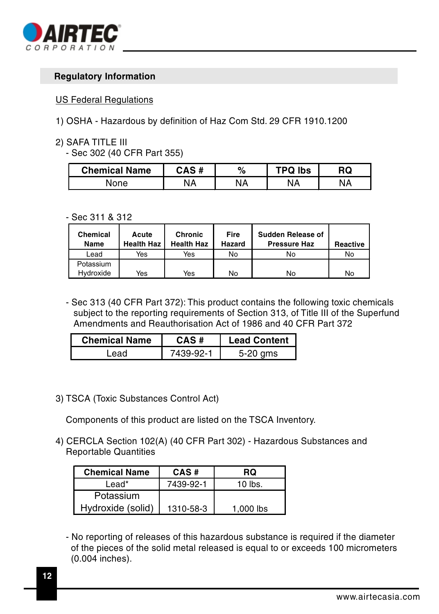

#### **Regulatory Information**

#### US Federal Regulations

- 1) OSHA Hazardous by definition of Haz Com Std. 29 CFR 1910.1200
- 2) SAFA TITLE III

- Sec 302 (40 CFR Part 355)

| <b>Chemical Name</b> | CAS # | %  | <b>TPQ Ibs</b> | RQ |
|----------------------|-------|----|----------------|----|
| None                 | NA    | NA | NΑ             | NA |

- Sec 311 & 312

| Chemical<br>Name       | Acute<br><b>Health Haz</b> | Chronic<br><b>Health Haz</b> | Fire<br>Hazard | <b>Sudden Release of</b><br><b>Pressure Haz</b> | Reactive |
|------------------------|----------------------------|------------------------------|----------------|-------------------------------------------------|----------|
| Lead                   | Yes                        | Yes                          | No             | No                                              | No       |
| Potassium<br>Hydroxide | Yes                        | Yes                          | No             | No                                              | No       |

 - Sec 313 (40 CFR Part 372): This product contains the following toxic chemicals subject to the reporting requirements of Section 313, of Title III of the Superfund Amendments and Reauthorisation Act of 1986 and 40 CFR Part 372

| <b>Chemical Name</b> | CAS#     | <b>Lead Content</b> |
|----------------------|----------|---------------------|
| ead                  | 439-92-1 | $5-20$ ams          |

3) TSCA (Toxic Substances Control Act)

Components of this product are listed on the TSCA Inventory.

4) CERCLA Section 102(A) (40 CFR Part 302) - Hazardous Substances and Reportable Quantities

| <b>Chemical Name</b> | CAS#      | RQ        |
|----------------------|-----------|-----------|
| Lead*                | 7439-92-1 | $10$ lbs. |
| Potassium            |           |           |
| Hydroxide (solid)    | 1310-58-3 | 1.000 lbs |

 - No reporting of releases of this hazardous substance is required if the diameter of the pieces of the solid metal released is equal to or exceeds 100 micrometers (0.004 inches).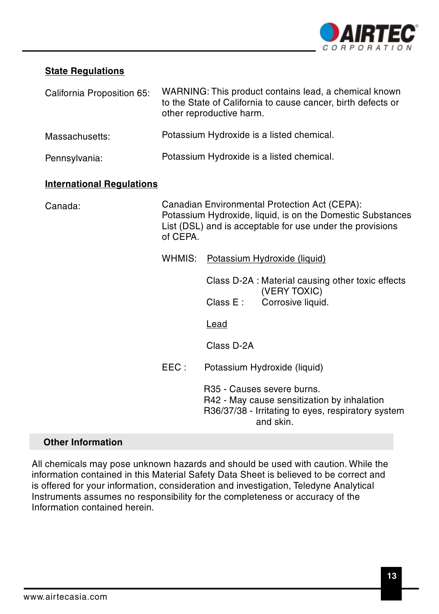

## **State Regulations**

| California Proposition 65:       | WARNING: This product contains lead, a chemical known<br>to the State of California to cause cancer, birth defects or<br>other reproductive harm.                                    |                                                                                                                                                          |  |
|----------------------------------|--------------------------------------------------------------------------------------------------------------------------------------------------------------------------------------|----------------------------------------------------------------------------------------------------------------------------------------------------------|--|
| Massachusetts:                   | Potassium Hydroxide is a listed chemical.                                                                                                                                            |                                                                                                                                                          |  |
| Pennsylvania:                    | Potassium Hydroxide is a listed chemical.                                                                                                                                            |                                                                                                                                                          |  |
| <b>International Requlations</b> |                                                                                                                                                                                      |                                                                                                                                                          |  |
| Canada:                          | Canadian Environmental Protection Act (CEPA):<br>Potassium Hydroxide, liquid, is on the Domestic Substances<br>List (DSL) and is acceptable for use under the provisions<br>of CEPA. |                                                                                                                                                          |  |
|                                  | WHMIS:                                                                                                                                                                               | Potassium Hydroxide (liquid)                                                                                                                             |  |
|                                  |                                                                                                                                                                                      | Class D-2A : Material causing other toxic effects<br>(VERY TOXIC)<br>Corrosive liquid.<br>$Class E$ :                                                    |  |
|                                  |                                                                                                                                                                                      | Lead                                                                                                                                                     |  |
|                                  |                                                                                                                                                                                      | Class D-2A                                                                                                                                               |  |
|                                  | EEC:                                                                                                                                                                                 | Potassium Hydroxide (liquid)                                                                                                                             |  |
|                                  |                                                                                                                                                                                      | R <sub>35</sub> - Causes severe burns.<br>R42 - May cause sensitization by inhalation<br>R36/37/38 - Irritating to eyes, respiratory system<br>and skin. |  |

### **Other Information**

All chemicals may pose unknown hazards and should be used with caution. While the information contained in this Material Safety Data Sheet is believed to be correct and is offered for your information, consideration and investigation, Teledyne Analytical Instruments assumes no responsibility for the completeness or accuracy of the Information contained herein.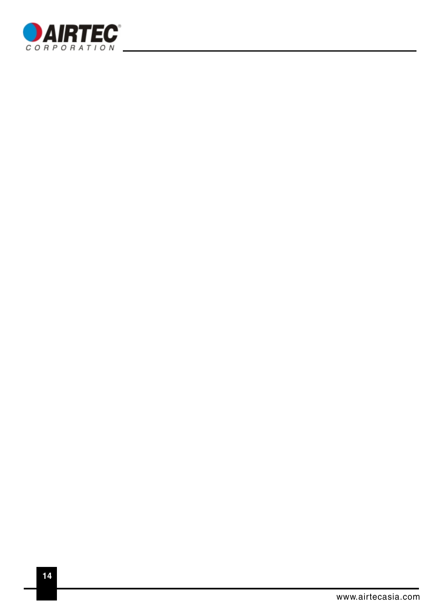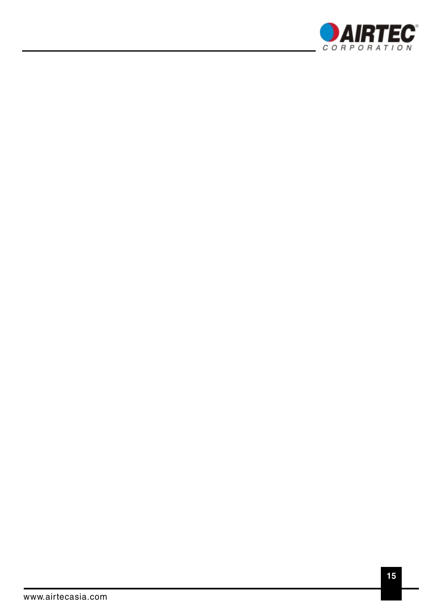